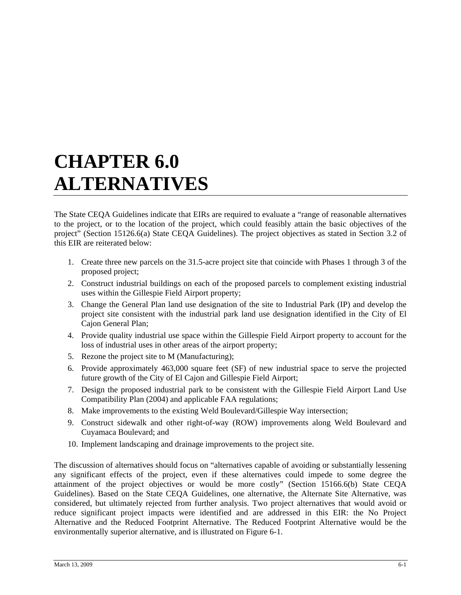# **CHAPTER 6.0 ALTERNATIVES**

The State CEQA Guidelines indicate that EIRs are required to evaluate a "range of reasonable alternatives to the project, or to the location of the project, which could feasibly attain the basic objectives of the project" (Section 15126.6(a) State CEQA Guidelines). The project objectives as stated in Section 3.2 of this EIR are reiterated below:

- 1. Create three new parcels on the 31.5-acre project site that coincide with Phases 1 through 3 of the proposed project;
- 2. Construct industrial buildings on each of the proposed parcels to complement existing industrial uses within the Gillespie Field Airport property;
- 3. Change the General Plan land use designation of the site to Industrial Park (IP) and develop the project site consistent with the industrial park land use designation identified in the City of El Cajon General Plan;
- 4. Provide quality industrial use space within the Gillespie Field Airport property to account for the loss of industrial uses in other areas of the airport property;
- 5. Rezone the project site to M (Manufacturing);
- 6. Provide approximately 463,000 square feet (SF) of new industrial space to serve the projected future growth of the City of El Cajon and Gillespie Field Airport;
- 7. Design the proposed industrial park to be consistent with the Gillespie Field Airport Land Use Compatibility Plan (2004) and applicable FAA regulations;
- 8. Make improvements to the existing Weld Boulevard/Gillespie Way intersection;
- 9. Construct sidewalk and other right-of-way (ROW) improvements along Weld Boulevard and Cuyamaca Boulevard; and
- 10. Implement landscaping and drainage improvements to the project site.

The discussion of alternatives should focus on "alternatives capable of avoiding or substantially lessening any significant effects of the project, even if these alternatives could impede to some degree the attainment of the project objectives or would be more costly" (Section 15166.6(b) State CEQA Guidelines). Based on the State CEQA Guidelines, one alternative, the Alternate Site Alternative, was considered, but ultimately rejected from further analysis. Two project alternatives that would avoid or reduce significant project impacts were identified and are addressed in this EIR: the No Project Alternative and the Reduced Footprint Alternative. The Reduced Footprint Alternative would be the environmentally superior alternative, and is illustrated on Figure 6-1.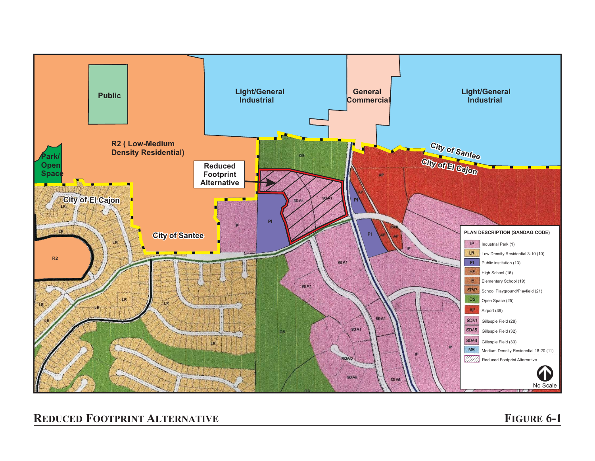

#### **REDUCED FOOTPRINT ALTERNATIVE FIGURE 6-1**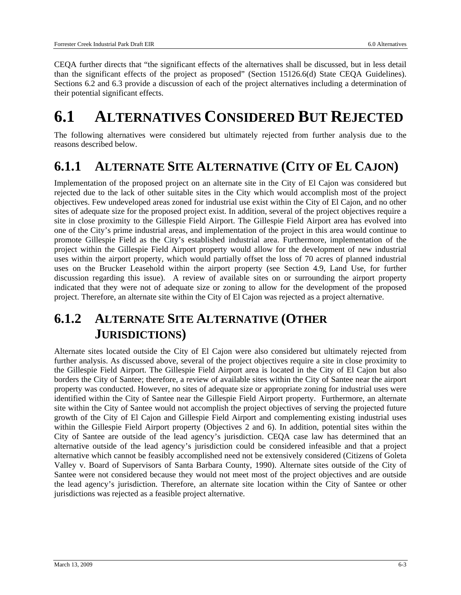CEQA further directs that "the significant effects of the alternatives shall be discussed, but in less detail than the significant effects of the project as proposed" (Section 15126.6(d) State CEQA Guidelines). Sections 6.2 and 6.3 provide a discussion of each of the project alternatives including a determination of their potential significant effects.

## **6.1 ALTERNATIVES CONSIDERED BUT REJECTED**

The following alternatives were considered but ultimately rejected from further analysis due to the reasons described below.

### **6.1.1 ALTERNATE SITE ALTERNATIVE (CITY OF EL CAJON)**

Implementation of the proposed project on an alternate site in the City of El Cajon was considered but rejected due to the lack of other suitable sites in the City which would accomplish most of the project objectives. Few undeveloped areas zoned for industrial use exist within the City of El Cajon, and no other sites of adequate size for the proposed project exist. In addition, several of the project objectives require a site in close proximity to the Gillespie Field Airport. The Gillespie Field Airport area has evolved into one of the City's prime industrial areas, and implementation of the project in this area would continue to promote Gillespie Field as the City's established industrial area. Furthermore, implementation of the project within the Gillespie Field Airport property would allow for the development of new industrial uses within the airport property, which would partially offset the loss of 70 acres of planned industrial uses on the Brucker Leasehold within the airport property (see Section 4.9, Land Use, for further discussion regarding this issue). A review of available sites on or surrounding the airport property indicated that they were not of adequate size or zoning to allow for the development of the proposed project. Therefore, an alternate site within the City of El Cajon was rejected as a project alternative.

### **6.1.2 ALTERNATE SITE ALTERNATIVE (OTHER JURISDICTIONS)**

Alternate sites located outside the City of El Cajon were also considered but ultimately rejected from further analysis. As discussed above, several of the project objectives require a site in close proximity to the Gillespie Field Airport. The Gillespie Field Airport area is located in the City of El Cajon but also borders the City of Santee; therefore, a review of available sites within the City of Santee near the airport property was conducted. However, no sites of adequate size or appropriate zoning for industrial uses were identified within the City of Santee near the Gillespie Field Airport property. Furthermore, an alternate site within the City of Santee would not accomplish the project objectives of serving the projected future growth of the City of El Cajon and Gillespie Field Airport and complementing existing industrial uses within the Gillespie Field Airport property (Objectives 2 and 6). In addition, potential sites within the City of Santee are outside of the lead agency's jurisdiction. CEQA case law has determined that an alternative outside of the lead agency's jurisdiction could be considered infeasible and that a project alternative which cannot be feasibly accomplished need not be extensively considered (Citizens of Goleta Valley v. Board of Supervisors of Santa Barbara County, 1990). Alternate sites outside of the City of Santee were not considered because they would not meet most of the project objectives and are outside the lead agency's jurisdiction. Therefore, an alternate site location within the City of Santee or other jurisdictions was rejected as a feasible project alternative.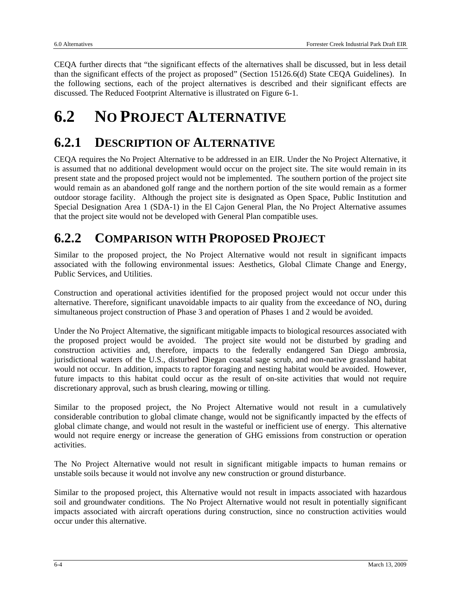CEQA further directs that "the significant effects of the alternatives shall be discussed, but in less detail than the significant effects of the project as proposed" (Section 15126.6(d) State CEQA Guidelines). In the following sections, each of the project alternatives is described and their significant effects are discussed. The Reduced Footprint Alternative is illustrated on Figure 6-1.

### **6.2 NO PROJECT ALTERNATIVE**

#### **6.2.1 DESCRIPTION OF ALTERNATIVE**

CEQA requires the No Project Alternative to be addressed in an EIR. Under the No Project Alternative, it is assumed that no additional development would occur on the project site. The site would remain in its present state and the proposed project would not be implemented. The southern portion of the project site would remain as an abandoned golf range and the northern portion of the site would remain as a former outdoor storage facility. Although the project site is designated as Open Space, Public Institution and Special Designation Area 1 (SDA-1) in the El Cajon General Plan, the No Project Alternative assumes that the project site would not be developed with General Plan compatible uses.

### **6.2.2 COMPARISON WITH PROPOSED PROJECT**

Similar to the proposed project, the No Project Alternative would not result in significant impacts associated with the following environmental issues: Aesthetics, Global Climate Change and Energy, Public Services, and Utilities.

Construction and operational activities identified for the proposed project would not occur under this alternative. Therefore, significant unavoidable impacts to air quality from the exceedance of  $NO<sub>x</sub>$  during simultaneous project construction of Phase 3 and operation of Phases 1 and 2 would be avoided.

Under the No Project Alternative, the significant mitigable impacts to biological resources associated with the proposed project would be avoided. The project site would not be disturbed by grading and construction activities and, therefore, impacts to the federally endangered San Diego ambrosia, jurisdictional waters of the U.S., disturbed Diegan coastal sage scrub, and non-native grassland habitat would not occur. In addition, impacts to raptor foraging and nesting habitat would be avoided. However, future impacts to this habitat could occur as the result of on-site activities that would not require discretionary approval, such as brush clearing, mowing or tilling.

Similar to the proposed project, the No Project Alternative would not result in a cumulatively considerable contribution to global climate change, would not be significantly impacted by the effects of global climate change, and would not result in the wasteful or inefficient use of energy. This alternative would not require energy or increase the generation of GHG emissions from construction or operation activities.

The No Project Alternative would not result in significant mitigable impacts to human remains or unstable soils because it would not involve any new construction or ground disturbance.

Similar to the proposed project, this Alternative would not result in impacts associated with hazardous soil and groundwater conditions. The No Project Alternative would not result in potentially significant impacts associated with aircraft operations during construction, since no construction activities would occur under this alternative.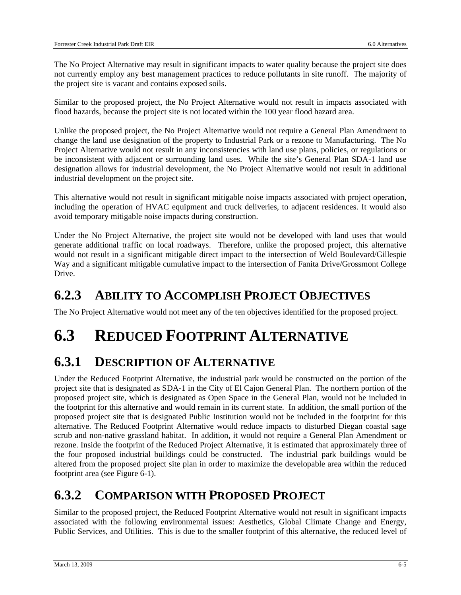The No Project Alternative may result in significant impacts to water quality because the project site does not currently employ any best management practices to reduce pollutants in site runoff. The majority of the project site is vacant and contains exposed soils.

Similar to the proposed project, the No Project Alternative would not result in impacts associated with flood hazards, because the project site is not located within the 100 year flood hazard area.

Unlike the proposed project, the No Project Alternative would not require a General Plan Amendment to change the land use designation of the property to Industrial Park or a rezone to Manufacturing. The No Project Alternative would not result in any inconsistencies with land use plans, policies, or regulations or be inconsistent with adjacent or surrounding land uses. While the site's General Plan SDA-1 land use designation allows for industrial development, the No Project Alternative would not result in additional industrial development on the project site.

This alternative would not result in significant mitigable noise impacts associated with project operation, including the operation of HVAC equipment and truck deliveries, to adjacent residences. It would also avoid temporary mitigable noise impacts during construction.

Under the No Project Alternative, the project site would not be developed with land uses that would generate additional traffic on local roadways. Therefore, unlike the proposed project, this alternative would not result in a significant mitigable direct impact to the intersection of Weld Boulevard/Gillespie Way and a significant mitigable cumulative impact to the intersection of Fanita Drive/Grossmont College Drive.

### **6.2.3 ABILITY TO ACCOMPLISH PROJECT OBJECTIVES**

The No Project Alternative would not meet any of the ten objectives identified for the proposed project.

## **6.3 REDUCED FOOTPRINT ALTERNATIVE**

### **6.3.1 DESCRIPTION OF ALTERNATIVE**

Under the Reduced Footprint Alternative, the industrial park would be constructed on the portion of the project site that is designated as SDA-1 in the City of El Cajon General Plan. The northern portion of the proposed project site, which is designated as Open Space in the General Plan, would not be included in the footprint for this alternative and would remain in its current state. In addition, the small portion of the proposed project site that is designated Public Institution would not be included in the footprint for this alternative. The Reduced Footprint Alternative would reduce impacts to disturbed Diegan coastal sage scrub and non-native grassland habitat. In addition, it would not require a General Plan Amendment or rezone. Inside the footprint of the Reduced Project Alternative, it is estimated that approximately three of the four proposed industrial buildings could be constructed. The industrial park buildings would be altered from the proposed project site plan in order to maximize the developable area within the reduced footprint area (see Figure 6-1).

#### **6.3.2 COMPARISON WITH PROPOSED PROJECT**

Similar to the proposed project, the Reduced Footprint Alternative would not result in significant impacts associated with the following environmental issues: Aesthetics, Global Climate Change and Energy, Public Services, and Utilities. This is due to the smaller footprint of this alternative, the reduced level of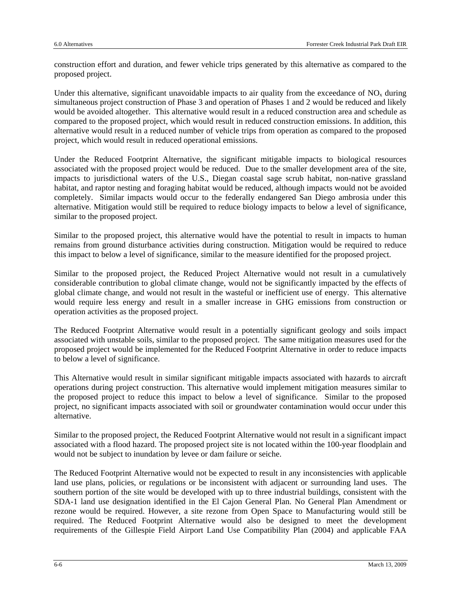construction effort and duration, and fewer vehicle trips generated by this alternative as compared to the proposed project.

Under this alternative, significant unavoidable impacts to air quality from the exceedance of  $NO<sub>x</sub>$  during simultaneous project construction of Phase 3 and operation of Phases 1 and 2 would be reduced and likely would be avoided altogether. This alternative would result in a reduced construction area and schedule as compared to the proposed project, which would result in reduced construction emissions. In addition, this alternative would result in a reduced number of vehicle trips from operation as compared to the proposed project, which would result in reduced operational emissions.

Under the Reduced Footprint Alternative, the significant mitigable impacts to biological resources associated with the proposed project would be reduced. Due to the smaller development area of the site, impacts to jurisdictional waters of the U.S., Diegan coastal sage scrub habitat, non-native grassland habitat, and raptor nesting and foraging habitat would be reduced, although impacts would not be avoided completely. Similar impacts would occur to the federally endangered San Diego ambrosia under this alternative. Mitigation would still be required to reduce biology impacts to below a level of significance, similar to the proposed project.

Similar to the proposed project, this alternative would have the potential to result in impacts to human remains from ground disturbance activities during construction. Mitigation would be required to reduce this impact to below a level of significance, similar to the measure identified for the proposed project.

Similar to the proposed project, the Reduced Project Alternative would not result in a cumulatively considerable contribution to global climate change, would not be significantly impacted by the effects of global climate change, and would not result in the wasteful or inefficient use of energy. This alternative would require less energy and result in a smaller increase in GHG emissions from construction or operation activities as the proposed project.

The Reduced Footprint Alternative would result in a potentially significant geology and soils impact associated with unstable soils, similar to the proposed project. The same mitigation measures used for the proposed project would be implemented for the Reduced Footprint Alternative in order to reduce impacts to below a level of significance.

This Alternative would result in similar significant mitigable impacts associated with hazards to aircraft operations during project construction. This alternative would implement mitigation measures similar to the proposed project to reduce this impact to below a level of significance. Similar to the proposed project, no significant impacts associated with soil or groundwater contamination would occur under this alternative.

Similar to the proposed project, the Reduced Footprint Alternative would not result in a significant impact associated with a flood hazard. The proposed project site is not located within the 100-year floodplain and would not be subject to inundation by levee or dam failure or seiche.

The Reduced Footprint Alternative would not be expected to result in any inconsistencies with applicable land use plans, policies, or regulations or be inconsistent with adjacent or surrounding land uses. The southern portion of the site would be developed with up to three industrial buildings, consistent with the SDA-1 land use designation identified in the El Cajon General Plan. No General Plan Amendment or rezone would be required. However, a site rezone from Open Space to Manufacturing would still be required. The Reduced Footprint Alternative would also be designed to meet the development requirements of the Gillespie Field Airport Land Use Compatibility Plan (2004) and applicable FAA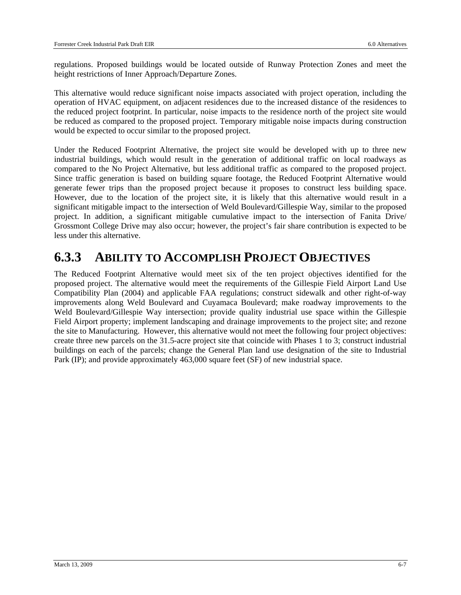regulations. Proposed buildings would be located outside of Runway Protection Zones and meet the height restrictions of Inner Approach/Departure Zones.

This alternative would reduce significant noise impacts associated with project operation, including the operation of HVAC equipment, on adjacent residences due to the increased distance of the residences to the reduced project footprint. In particular, noise impacts to the residence north of the project site would be reduced as compared to the proposed project. Temporary mitigable noise impacts during construction would be expected to occur similar to the proposed project.

Under the Reduced Footprint Alternative, the project site would be developed with up to three new industrial buildings, which would result in the generation of additional traffic on local roadways as compared to the No Project Alternative, but less additional traffic as compared to the proposed project. Since traffic generation is based on building square footage, the Reduced Footprint Alternative would generate fewer trips than the proposed project because it proposes to construct less building space. However, due to the location of the project site, it is likely that this alternative would result in a significant mitigable impact to the intersection of Weld Boulevard/Gillespie Way, similar to the proposed project. In addition, a significant mitigable cumulative impact to the intersection of Fanita Drive/ Grossmont College Drive may also occur; however, the project's fair share contribution is expected to be less under this alternative.

### **6.3.3 ABILITY TO ACCOMPLISH PROJECT OBJECTIVES**

The Reduced Footprint Alternative would meet six of the ten project objectives identified for the proposed project. The alternative would meet the requirements of the Gillespie Field Airport Land Use Compatibility Plan (2004) and applicable FAA regulations; construct sidewalk and other right-of-way improvements along Weld Boulevard and Cuyamaca Boulevard; make roadway improvements to the Weld Boulevard/Gillespie Way intersection; provide quality industrial use space within the Gillespie Field Airport property; implement landscaping and drainage improvements to the project site; and rezone the site to Manufacturing. However, this alternative would not meet the following four project objectives: create three new parcels on the 31.5-acre project site that coincide with Phases 1 to 3; construct industrial buildings on each of the parcels; change the General Plan land use designation of the site to Industrial Park (IP); and provide approximately 463,000 square feet (SF) of new industrial space.